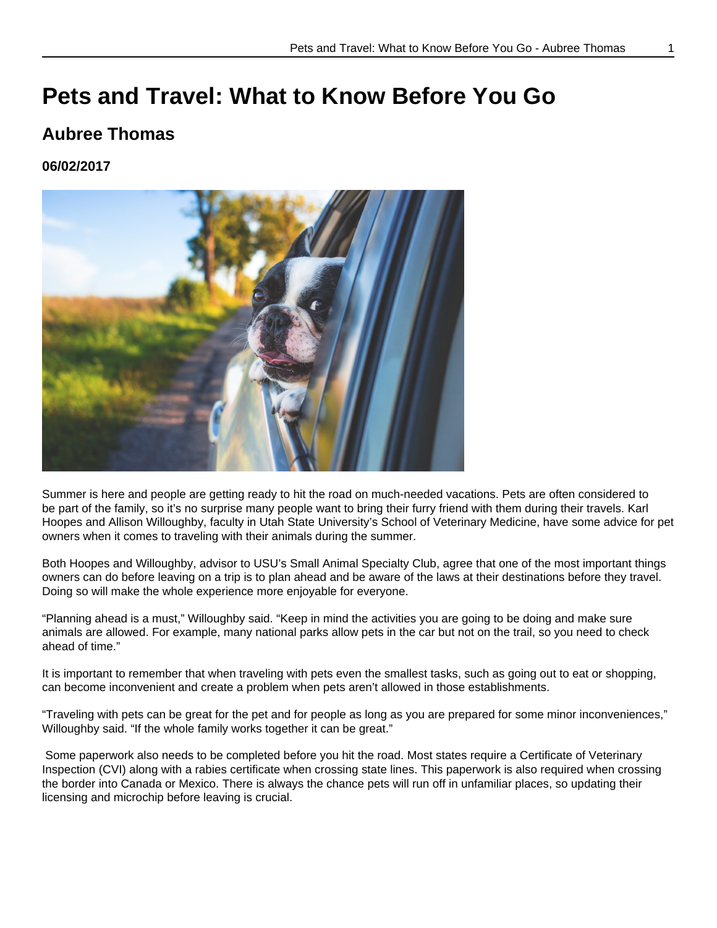## **Pets and Travel: What to Know Before You Go**

#### **Aubree Thomas**

#### **06/02/2017**



Summer is here and people are getting ready to hit the road on much-needed vacations. Pets are often considered to be part of the family, so it's no surprise many people want to bring their furry friend with them during their travels. Karl Hoopes and Allison Willoughby, faculty in Utah State University's School of Veterinary Medicine, have some advice for pet owners when it comes to traveling with their animals during the summer.

Both Hoopes and Willoughby, advisor to USU's Small Animal Specialty Club, agree that one of the most important things owners can do before leaving on a trip is to plan ahead and be aware of the laws at their destinations before they travel. Doing so will make the whole experience more enjoyable for everyone.

"Planning ahead is a must," Willoughby said. "Keep in mind the activities you are going to be doing and make sure animals are allowed. For example, many national parks allow pets in the car but not on the trail, so you need to check ahead of time."

It is important to remember that when traveling with pets even the smallest tasks, such as going out to eat or shopping, can become inconvenient and create a problem when pets aren't allowed in those establishments.

"Traveling with pets can be great for the pet and for people as long as you are prepared for some minor inconveniences," Willoughby said. "If the whole family works together it can be great."

 Some paperwork also needs to be completed before you hit the road. Most states require a Certificate of Veterinary Inspection (CVI) along with a rabies certificate when crossing state lines. This paperwork is also required when crossing the border into Canada or Mexico. There is always the chance pets will run off in unfamiliar places, so updating their licensing and microchip before leaving is crucial.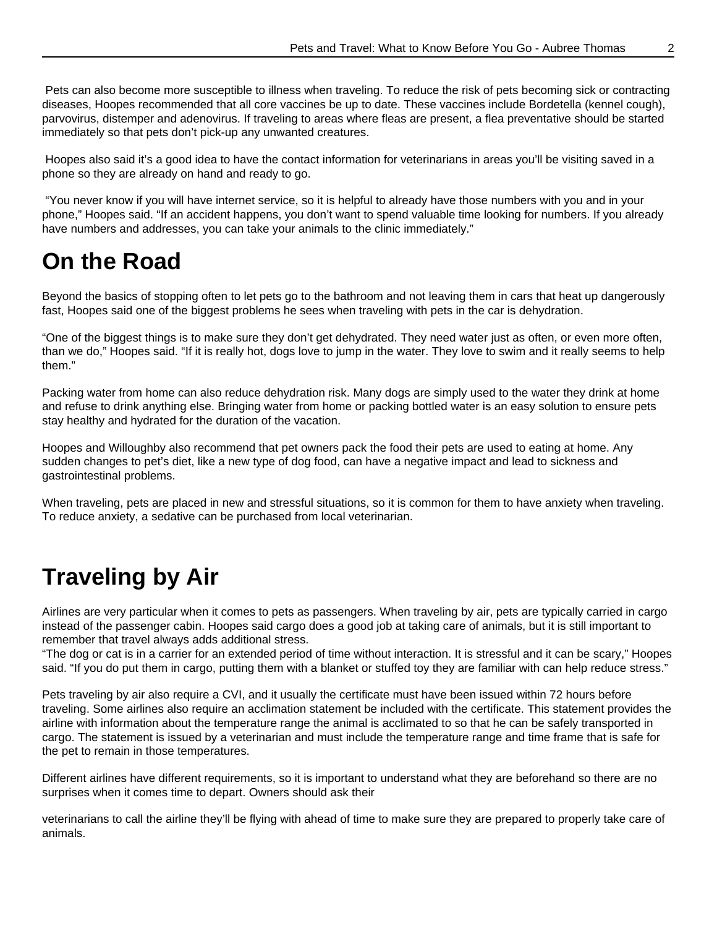Pets can also become more susceptible to illness when traveling. To reduce the risk of pets becoming sick or contracting diseases, Hoopes recommended that all core vaccines be up to date. These vaccines include Bordetella (kennel cough), parvovirus, distemper and adenovirus. If traveling to areas where fleas are present, a flea preventative should be started immediately so that pets don't pick-up any unwanted creatures.

 Hoopes also said it's a good idea to have the contact information for veterinarians in areas you'll be visiting saved in a phone so they are already on hand and ready to go.

 "You never know if you will have internet service, so it is helpful to already have those numbers with you and in your phone," Hoopes said. "If an accident happens, you don't want to spend valuable time looking for numbers. If you already have numbers and addresses, you can take your animals to the clinic immediately."

#### **On the Road**

Beyond the basics of stopping often to let pets go to the bathroom and not leaving them in cars that heat up dangerously fast, Hoopes said one of the biggest problems he sees when traveling with pets in the car is dehydration.

"One of the biggest things is to make sure they don't get dehydrated. They need water just as often, or even more often, than we do," Hoopes said. "If it is really hot, dogs love to jump in the water. They love to swim and it really seems to help them."

Packing water from home can also reduce dehydration risk. Many dogs are simply used to the water they drink at home and refuse to drink anything else. Bringing water from home or packing bottled water is an easy solution to ensure pets stay healthy and hydrated for the duration of the vacation.

Hoopes and Willoughby also recommend that pet owners pack the food their pets are used to eating at home. Any sudden changes to pet's diet, like a new type of dog food, can have a negative impact and lead to sickness and gastrointestinal problems.

When traveling, pets are placed in new and stressful situations, so it is common for them to have anxiety when traveling. To reduce anxiety, a sedative can be purchased from local veterinarian.

# **Traveling by Air**

Airlines are very particular when it comes to pets as passengers. When traveling by air, pets are typically carried in cargo instead of the passenger cabin. Hoopes said cargo does a good job at taking care of animals, but it is still important to remember that travel always adds additional stress.

"The dog or cat is in a carrier for an extended period of time without interaction. It is stressful and it can be scary," Hoopes said. "If you do put them in cargo, putting them with a blanket or stuffed toy they are familiar with can help reduce stress."

Pets traveling by air also require a CVI, and it usually the certificate must have been issued within 72 hours before traveling. Some airlines also require an acclimation statement be included with the certificate. This statement provides the airline with information about the temperature range the animal is acclimated to so that he can be safely transported in cargo. The statement is issued by a veterinarian and must include the temperature range and time frame that is safe for the pet to remain in those temperatures.

Different airlines have different requirements, so it is important to understand what they are beforehand so there are no surprises when it comes time to depart. Owners should ask their

veterinarians to call the airline they'll be flying with ahead of time to make sure they are prepared to properly take care of animals.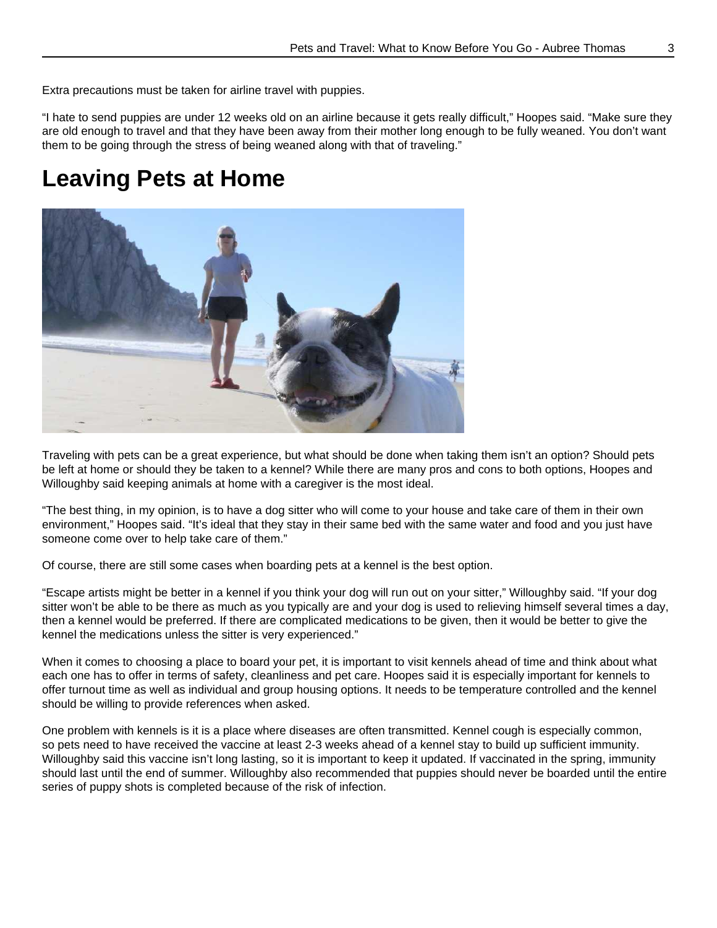Extra precautions must be taken for airline travel with puppies.

"I hate to send puppies are under 12 weeks old on an airline because it gets really difficult," Hoopes said. "Make sure they are old enough to travel and that they have been away from their mother long enough to be fully weaned. You don't want them to be going through the stress of being weaned along with that of traveling."

## **Leaving Pets at Home**



Traveling with pets can be a great experience, but what should be done when taking them isn't an option? Should pets be left at home or should they be taken to a kennel? While there are many pros and cons to both options, Hoopes and Willoughby said keeping animals at home with a caregiver is the most ideal.

"The best thing, in my opinion, is to have a dog sitter who will come to your house and take care of them in their own environment," Hoopes said. "It's ideal that they stay in their same bed with the same water and food and you just have someone come over to help take care of them."

Of course, there are still some cases when boarding pets at a kennel is the best option.

"Escape artists might be better in a kennel if you think your dog will run out on your sitter," Willoughby said. "If your dog sitter won't be able to be there as much as you typically are and your dog is used to relieving himself several times a day, then a kennel would be preferred. If there are complicated medications to be given, then it would be better to give the kennel the medications unless the sitter is very experienced."

When it comes to choosing a place to board your pet, it is important to visit kennels ahead of time and think about what each one has to offer in terms of safety, cleanliness and pet care. Hoopes said it is especially important for kennels to offer turnout time as well as individual and group housing options. It needs to be temperature controlled and the kennel should be willing to provide references when asked.

One problem with kennels is it is a place where diseases are often transmitted. Kennel cough is especially common, so pets need to have received the vaccine at least 2-3 weeks ahead of a kennel stay to build up sufficient immunity. Willoughby said this vaccine isn't long lasting, so it is important to keep it updated. If vaccinated in the spring, immunity should last until the end of summer. Willoughby also recommended that puppies should never be boarded until the entire series of puppy shots is completed because of the risk of infection.